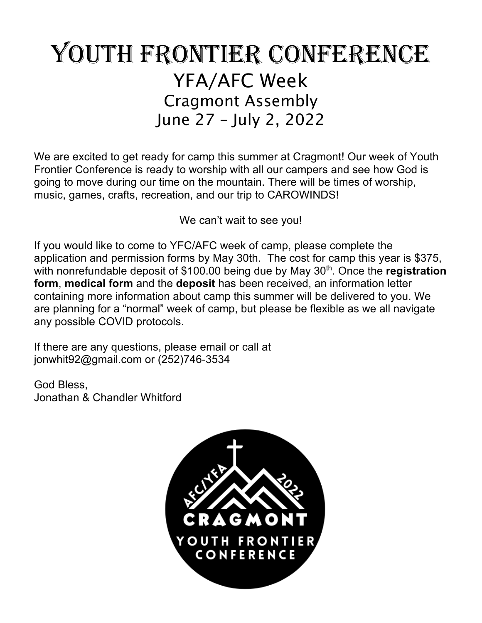## YOUTH FRONTIER CONFERENCE YFA/AFC Week Cragmont Assembly June 27 – July 2, 2022

We are excited to get ready for camp this summer at Cragmont! Our week of Youth Frontier Conference is ready to worship with all our campers and see how God is going to move during our time on the mountain. There will be times of worship, music, games, crafts, recreation, and our trip to CAROWINDS!

We can't wait to see you!

If you would like to come to YFC/AFC week of camp, please complete the application and permission forms by May 30th. The cost for camp this year is \$375, with nonrefundable deposit of \$100.00 being due by May 30<sup>th</sup>. Once the **registration form**, **medical form** and the **deposit** has been received, an information letter containing more information about camp this summer will be delivered to you. We are planning for a "normal" week of camp, but please be flexible as we all navigate any possible COVID protocols.

If there are any questions, please email or call at jonwhit92@gmail.com or (252)746-3534

God Bless, Jonathan & Chandler Whitford

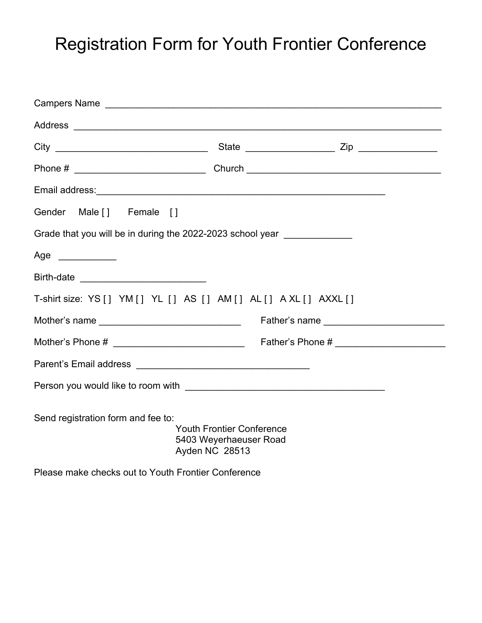### Registration Form for Youth Frontier Conference

| Gender Male [] Female []                                                         |                                                                              |  |  |
|----------------------------------------------------------------------------------|------------------------------------------------------------------------------|--|--|
| Grade that you will be in during the 2022-2023 school year _____________________ |                                                                              |  |  |
| Age _____________                                                                |                                                                              |  |  |
|                                                                                  |                                                                              |  |  |
| T-shirt size: YS [] YM [] YL [] AS [] AM [] AL [] A XL [] AXXL []                |                                                                              |  |  |
| Mother's name ___________________________________                                |                                                                              |  |  |
|                                                                                  |                                                                              |  |  |
|                                                                                  |                                                                              |  |  |
|                                                                                  |                                                                              |  |  |
| Send registration form and fee to:                                               | <b>Youth Frontier Conference</b><br>5403 Weyerhaeuser Road<br>Ayden NC 28513 |  |  |
| Please make checks out to Youth Frontier Conference                              |                                                                              |  |  |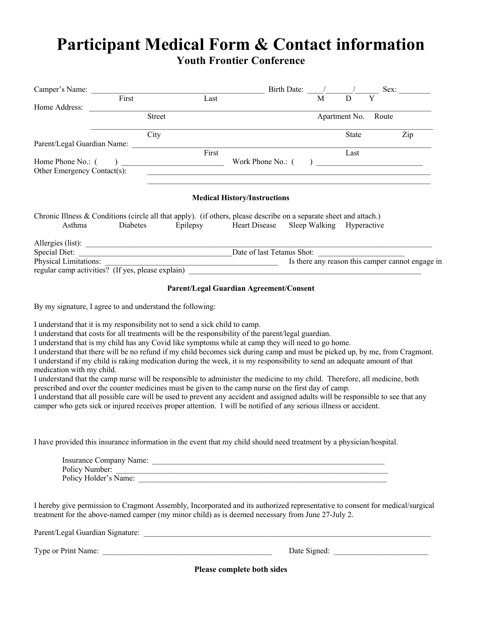### **Participant Medical Form & Contact information Youth Frontier Conference**

| Camper's Name:                                                                                                     |                                                                                                                                                                                                                                                                                                                                                                                             |                                                                                                                                                     |                                         | Birth Date: |   |               | Sex:  |                                                  |
|--------------------------------------------------------------------------------------------------------------------|---------------------------------------------------------------------------------------------------------------------------------------------------------------------------------------------------------------------------------------------------------------------------------------------------------------------------------------------------------------------------------------------|-----------------------------------------------------------------------------------------------------------------------------------------------------|-----------------------------------------|-------------|---|---------------|-------|--------------------------------------------------|
|                                                                                                                    | First                                                                                                                                                                                                                                                                                                                                                                                       | Last                                                                                                                                                |                                         |             | M |               | Y     |                                                  |
| Home Address:                                                                                                      |                                                                                                                                                                                                                                                                                                                                                                                             |                                                                                                                                                     |                                         |             |   |               |       |                                                  |
|                                                                                                                    | <b>Street</b>                                                                                                                                                                                                                                                                                                                                                                               |                                                                                                                                                     |                                         |             |   | Apartment No. | Route |                                                  |
|                                                                                                                    | City                                                                                                                                                                                                                                                                                                                                                                                        |                                                                                                                                                     |                                         |             |   | <b>State</b>  |       | Zip                                              |
| Parent/Legal Guardian Name:                                                                                        |                                                                                                                                                                                                                                                                                                                                                                                             |                                                                                                                                                     |                                         |             |   |               |       |                                                  |
|                                                                                                                    |                                                                                                                                                                                                                                                                                                                                                                                             | First                                                                                                                                               |                                         |             |   | Last          |       |                                                  |
| Home Phone No.: (                                                                                                  | $\begin{picture}(20,10) \put(0,0){\dashbox{0.5}(10,0){ }} \put(15,0){\circle{10}} \put(15,0){\circle{10}} \put(15,0){\circle{10}} \put(15,0){\circle{10}} \put(15,0){\circle{10}} \put(15,0){\circle{10}} \put(15,0){\circle{10}} \put(15,0){\circle{10}} \put(15,0){\circle{10}} \put(15,0){\circle{10}} \put(15,0){\circle{10}} \put(15,0){\circle{10}} \put(15,0){\circle{10}} \put(15,$ |                                                                                                                                                     | Work Phone No.: (                       |             |   |               |       |                                                  |
| Other Emergency Contact(s):                                                                                        |                                                                                                                                                                                                                                                                                                                                                                                             | <u> 1980 - John Stone, amerikansk politiker (d. 1980)</u>                                                                                           |                                         |             |   |               |       |                                                  |
|                                                                                                                    |                                                                                                                                                                                                                                                                                                                                                                                             |                                                                                                                                                     | <b>Medical History/Instructions</b>     |             |   |               |       |                                                  |
| Chronic Illness & Conditions (circle all that apply). (if others, please describe on a separate sheet and attach.) |                                                                                                                                                                                                                                                                                                                                                                                             |                                                                                                                                                     |                                         |             |   |               |       |                                                  |
| Asthma                                                                                                             | Diabetes                                                                                                                                                                                                                                                                                                                                                                                    | Epilepsy                                                                                                                                            | Heart Disease Sleep Walking Hyperactive |             |   |               |       |                                                  |
|                                                                                                                    |                                                                                                                                                                                                                                                                                                                                                                                             |                                                                                                                                                     |                                         |             |   |               |       |                                                  |
| Special Diet:                                                                                                      |                                                                                                                                                                                                                                                                                                                                                                                             | Date of last Tetanus Shot:<br><u> 1989 - Johann John Stone, mars eta industrial eta industrial eta industrial eta industrial eta industrial eta</u> |                                         |             |   |               |       |                                                  |
| <b>Physical Limitations:</b><br>regular camp activities? (If yes, please explain)                                  |                                                                                                                                                                                                                                                                                                                                                                                             |                                                                                                                                                     |                                         |             |   |               |       | Is there any reason this camper cannot engage in |

#### **Parent/Legal Guardian Agreement/Consent**

By my signature, I agree to and understand the following:

I understand that it is my responsibility not to send a sick child to camp.

I understand that costs for all treatments will be the responsibility of the parent/legal guardian.

I understand that is my child has any Covid like symptoms while at camp they will need to go home.

I understand that there will be no refund if my child becomes sick during camp and must be picked up, by me, from Cragmont. I understand if my child is raking medication during the week, it is my responsibility to send an adequate amount of that medication with my child.

I understand that the camp nurse will be responsible to administer the medicine to my child. Therefore, all medicine, both prescribed and over the counter medicines must be given to the camp nurse on the first day of camp.

I understand that all possible care will be used to prevent any accident and assigned adults will be responsible to see that any camper who gets sick or injured receives proper attention. I will be notified of any serious illness or accident.

I have provided this insurance information in the event that my child should need treatment by a physician/hospital.

| Insurance Company Name: |  |
|-------------------------|--|
| Policy Number:          |  |
| Policy Holder's Name:   |  |

I hereby give permission to Cragmont Assembly, Incorporated and its authorized representative to consent for medical/surgical treatment for the above-named camper (my minor child) as is deemed necessary from June 27-July 2.

Parent/Legal Guardian Signature: \_\_\_\_\_\_\_\_\_\_\_\_\_\_\_\_\_\_\_\_\_\_\_\_\_\_\_\_\_\_\_\_\_\_\_\_\_\_\_\_\_\_\_\_\_\_\_\_\_\_\_\_\_\_\_\_\_\_\_\_\_\_\_\_\_\_\_\_\_\_\_\_\_

Type or Print Name: \_\_\_\_\_\_\_\_\_\_\_\_\_\_\_\_\_\_\_\_\_\_\_\_\_\_\_\_\_\_\_\_\_\_\_\_\_\_\_\_\_\_\_ Date Signed: \_\_\_\_\_\_\_\_\_\_\_\_\_\_\_\_\_\_\_\_\_\_\_\_

**Please complete both sides**